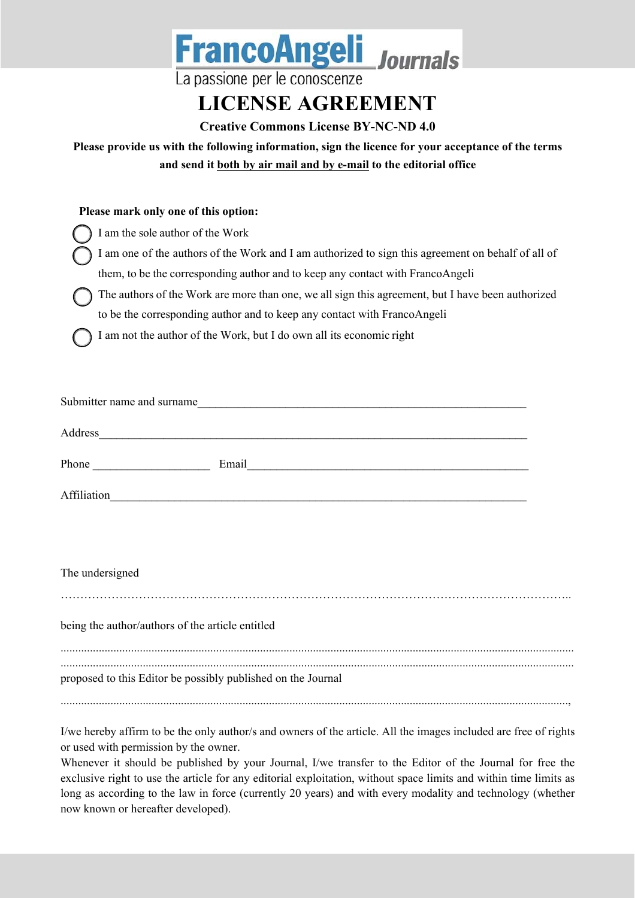| <b>FrancoAngeli</b> Journals<br>La passione per le conoscenze<br><b>LICENSE AGREEMENT</b>                                    |  |  |  |  |  |
|------------------------------------------------------------------------------------------------------------------------------|--|--|--|--|--|
| <b>Creative Commons License BY-NC-ND 4.0</b>                                                                                 |  |  |  |  |  |
| Please provide us with the following information, sign the licence for your acceptance of the terms                          |  |  |  |  |  |
| and send it both by air mail and by e-mail to the editorial office                                                           |  |  |  |  |  |
| Please mark only one of this option:                                                                                         |  |  |  |  |  |
| I am the sole author of the Work                                                                                             |  |  |  |  |  |
| I am one of the authors of the Work and I am authorized to sign this agreement on behalf of all of                           |  |  |  |  |  |
| them, to be the corresponding author and to keep any contact with FrancoAngeli                                               |  |  |  |  |  |
| The authors of the Work are more than one, we all sign this agreement, but I have been authorized                            |  |  |  |  |  |
| to be the corresponding author and to keep any contact with FrancoAngeli                                                     |  |  |  |  |  |
| I am not the author of the Work, but I do own all its economic right                                                         |  |  |  |  |  |
|                                                                                                                              |  |  |  |  |  |
|                                                                                                                              |  |  |  |  |  |
|                                                                                                                              |  |  |  |  |  |
|                                                                                                                              |  |  |  |  |  |
|                                                                                                                              |  |  |  |  |  |
|                                                                                                                              |  |  |  |  |  |
| Email<br><u> 1980 - Johann Barbara, martxa alemaniar argumento este alemaniar alemaniar alemaniar alemaniar alemaniar al</u> |  |  |  |  |  |
| Affiliation                                                                                                                  |  |  |  |  |  |
|                                                                                                                              |  |  |  |  |  |
|                                                                                                                              |  |  |  |  |  |
|                                                                                                                              |  |  |  |  |  |
| The undersigned                                                                                                              |  |  |  |  |  |
|                                                                                                                              |  |  |  |  |  |
| being the author/authors of the article entitled                                                                             |  |  |  |  |  |
|                                                                                                                              |  |  |  |  |  |
|                                                                                                                              |  |  |  |  |  |
| proposed to this Editor be possibly published on the Journal                                                                 |  |  |  |  |  |
|                                                                                                                              |  |  |  |  |  |
| I/we hereby affirm to be the only author/s and owners of the article. All the images included are free of rights             |  |  |  |  |  |

or used with permission by the owner. Whenever it should be published by your Journal, I/we transfer to the Editor of the Journal for free the exclusive right to use the article for any editorial exploitation, without space limits and within time limits as long as according to the law in force (currently 20 years) and with every modality and technology (whether now known or hereafter developed).